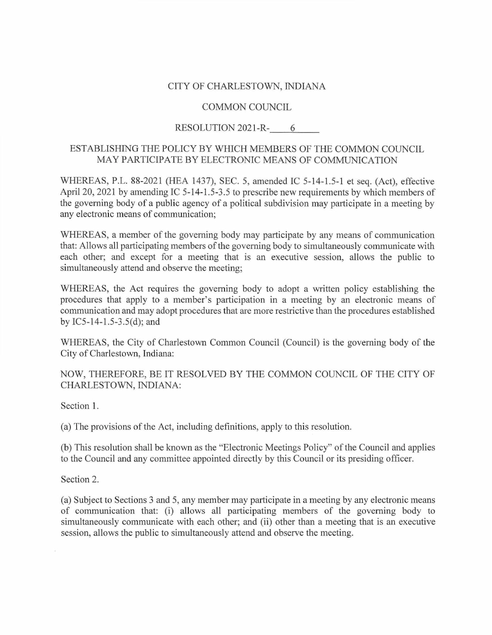## CITY OF CHARLESTOWN, INDIANA

## COMMON COUNCIL

## RESOLUTION 2021-R- 6

## ESTABLISHING THE POLICY BY WHICH MEMBERS OF THE COMMON COUNCIL MAY PARTICIPATE BY ELECTRONIC MEANS OF COMMUNICATION

WHEREAS, P.L. 88-2021 (HEA 1437), SEC. 5, amended IC 5-14-1.5-1 et seq. (Act), effective April 20, 2021 by amending IC 5-14-1.5-3.5 to prescribe new requirements by which members of the governing body of a public agency of a political subdivision may participate in a meeting by any electronic means of communication;

WHEREAS, a member of the governing body may participate by any means of communication that: Allows all participating members of the governing body to simultaneously communicate with each other; and except for a meeting that is an executive session, allows the public to simultaneously attend and observe the meeting;

WHEREAS, the Act requires the governing body to adopt a written policy establishing the procedures that apply to a member's participation in a meeting by an electronic means of communication and may adopt procedures that are more restrictive than the procedures established by IC5-14-1.5-3.5(d); and

WHEREAS, the City of Charlestown Common Council (Council) is the governing body of the City of Charlestown, Indiana:

NOW, THEREFORE, BE IT RESOLVED BY THE COMMON COUNCIL OF THE CITY OF CHARLESTOWN, INDIANA:

Section 1.

(a) The provisions of the Act, including definitions, apply to this resolution.

(b) This resolution shall be known as the "Electronic Meetings Policy" of the Council and applies to the Council and any committee appointed directly by this Council or its presiding officer.

Section 2.

(a) Subject to Sections 3 and 5, any member may participate in a meeting by any electronic means of communication that: (i) allows all participating members of the governing body to simultaneously communicate with each other; and (ii) other than a meeting that is an executive session, allows the public to simultaneously attend and observe the meeting.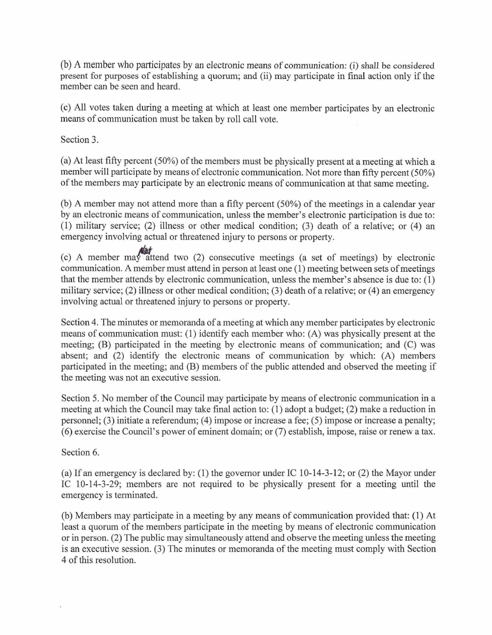(b) A member who participates by an electronic means of communication: (i) shall be considered present for purposes of establishing a quorum; and (ii) may participate in final action only if the member can be seen and heard.

(c) All votes taken during a meeting at which at least one member participates by an electronic means of communication must be taken by roll call vote.

Section 3.

(a) At least fifty percent  $(50\%)$  of the members must be physically present at a meeting at which a member will participate by means of electronic communication. Not more than fifty percent (50%) of the members may participate by an electronic means of communication at that same meeting.

(b) A member may not attend more than a fifty percent  $(50\%)$  of the meetings in a calendar year by an electronic means of communication, unless the member's electronic participation is due to: (1) military service; (2) illness or other medical condition; (3) death of a relative; or (4) an emergency involving actual or threatened injury to persons or property.

(c) A member may attend two (2) consecutive meetings (a set of meetings) by electronic communication. A member must attend in person at least one (1) meeting between sets of meetings that the member attends by electronic communication, unless the member's absence is due to: (1) military service; (2) illness or other medical condition; (3) death of a relative; or (4) an emergency involving actual or threatened injury to persons or property.

Section 4. The minutes or memoranda of a meeting at which any member participates by electronic means of communication must: (1) identify each member who: (A) was physically present at the meeting; (B) participated in the meeting by electronic means of communication; and (C) was absent; and (2) identify the electronic means of communication by which: (A) members participated in the meeting; and (B) members of the public attended and observed the meeting if the meeting was not an executive session.

Section 5. No member of the Council may participate by means of electronic communication in a meeting at which the Council may take final action to: (1) adopt a budget; (2) make a reduction in personnel; (3) initiate a referendum; (4) impose or increase a fee; (5) impose or increase a penalty;  $(6)$  exercise the Council's power of eminent domain; or  $(7)$  establish, impose, raise or renew a tax.

Section 6.

(a) If an emergency is declared by: (1) the governor under IC 10-14-3-12; or (2) the Mayor under IC 10-14-3-29; members are not required to be physically present for a meeting until the emergency is terminated.

(b) Members may participate in a meeting by any means of communication provided that: (1) At least a quorum of the members participate in the meeting by means of electronic communication or in person. (2) The public may simultaneously attend and observe the meeting unless the meeting is an executive session. (3) The minutes or memoranda of the meeting must comply with Section 4 of this resolution.